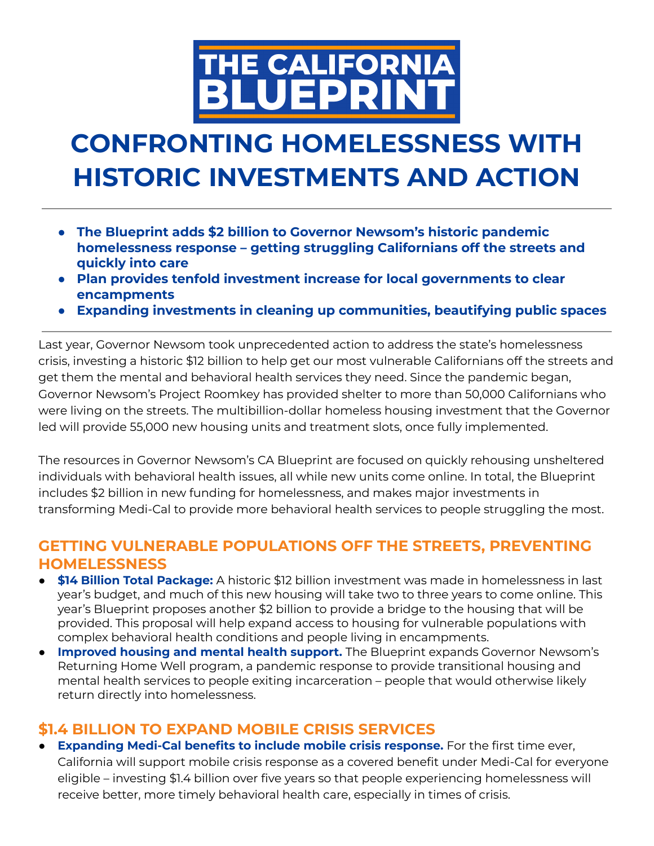

# **CONFRONTING HOMELESSNESS WITH HISTORIC INVESTMENTS AND ACTION**

- **● The Blueprint adds \$2 billion to Governor Newsom's historic pandemic homelessness response – getting struggling Californians off the streets and quickly into care**
- **● Plan provides tenfold investment increase for local governments to clear encampments**
- **● Expanding investments in cleaning up communities, beautifying public spaces**

Last year, Governor Newsom took unprecedented action to address the state's homelessness crisis, investing a historic \$12 billion to help get our most vulnerable Californians off the streets and get them the mental and behavioral health services they need. Since the pandemic began, Governor Newsom's Project Roomkey has provided shelter to more than 50,000 Californians who were living on the streets. The multibillion-dollar homeless housing investment that the Governor led will provide 55,000 new housing units and treatment slots, once fully implemented.

The resources in Governor Newsom's CA Blueprint are focused on quickly rehousing unsheltered individuals with behavioral health issues, all while new units come online. In total, the Blueprint includes \$2 billion in new funding for homelessness, and makes major investments in transforming Medi-Cal to provide more behavioral health services to people struggling the most.

## **GETTING VULNERABLE POPULATIONS OFF THE STREETS, PREVENTING HOMELESSNESS**

- **● \$14 Billion Total Package:** A historic \$12 billion investment was made in homelessness in last year's budget, and much of this new housing will take two to three years to come online. This year's Blueprint proposes another \$2 billion to provide a bridge to the housing that will be provided. This proposal will help expand access to housing for vulnerable populations with complex behavioral health conditions and people living in encampments.
- **Improved housing and mental health support.** The Blueprint expands Governor Newsom's Returning Home Well program, a pandemic response to provide transitional housing and mental health services to people exiting incarceration – people that would otherwise likely return directly into homelessness.

# **\$1.4 BILLION TO EXPAND MOBILE CRISIS SERVICES**

● **Expanding Medi-Cal benefits to include mobile crisis response.** For the first time ever, California will support mobile crisis response as a covered benefit under Medi-Cal for everyone eligible – investing \$1.4 billion over five years so that people experiencing homelessness will receive better, more timely behavioral health care, especially in times of crisis.